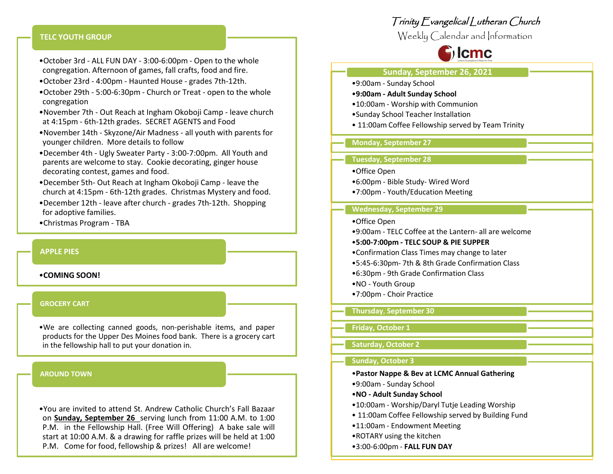### **TELC YOUTH GROUP**

- •October 3rd ALL FUN DAY 3:00-6:00pm Open to the whole congregation. Afternoon of games, fall crafts, food and fire.
- •October 23rd 4:00pm Haunted House grades 7th-12th.
- •October 29th 5:00-6:30pm Church or Treat open to the whole congregation
- •November 7th Out Reach at Ingham Okoboji Camp leave church at 4:15pm - 6th-12th grades. SECRET AGENTS and Food
- •November 14th Skyzone/Air Madness all youth with parents for younger children. More details to follow
- •December 4th Ugly Sweater Party 3:00-7:00pm. All Youth and parents are welcome to stay. Cookie decorating, ginger house decorating contest, games and food.
- •December 5th- Out Reach at Ingham Okoboji Camp leave the church at 4:15pm - 6th-12th grades. Christmas Mystery and food.
- •December 12th leave after church grades 7th-12th. Shopping for adoptive families.
- •Christmas Program TBA

#### **APPLE PIES**

### •**COMING SOON!**

### **GROCERY CART**

•We are collecting canned goods, non-perishable items, and paper products for the Upper Des Moines food bank. There is a grocery cart in the fellowship hall to put your donation in.

#### **AROUND TOWN**

•You are invited to attend St. Andrew Catholic Church's Fall Bazaar on **Sunday, September 26** serving lunch from 11:00 A.M. to 1:00 P.M. in the Fellowship Hall. (Free Will Offering) A bake sale will start at 10:00 A.M. & a drawing for raffle prizes will be held at 1:00 P.M. Come for food, fellowship & prizes! All are welcome!

# Trinity Evangelical Lutheran Church

Weekly Calendar and Information



### **Sunday, September 26, 2021**

- •9:00am Sunday School
- •**9:00am - Adult Sunday School**
- •10:00am Worship with Communion
- •Sunday School Teacher Installation
- 11:00am Coffee Fellowship served by Team Trinity

### **Monday, September 27**

### **Tuesday, September 28**

- •Office Open
- •6:00pm Bible Study- Wired Word
- •7:00pm Youth/Education Meeting

### **Wednesday, September 29**

- •Office Open
- •9:00am TELC Coffee at the Lantern- all are welcome

#### •**5:00-7:00pm - TELC SOUP & PIE SUPPER**

- •Confirmation Class Times may change to later
- •5:45-6:30pm- 7th & 8th Grade Confirmation Class
- •6:30pm 9th Grade Confirmation Class
- •NO Youth Group
- •7:00pm Choir Practice

### **Thursday**, **September 30**

# **Friday, October 1**

# **Saturday, October 2**

### **Sunday, October 3**

# •**Pastor Nappe & Bev at LCMC Annual Gathering**

- •9:00am Sunday School
- •**NO - Adult Sunday School**
- •10:00am Worship/Daryl Tutje Leading Worship
- 11:00am Coffee Fellowship served by Building Fund
- •11:00am Endowment Meeting
- •ROTARY using the kitchen
- •3:00-6:00pm **FALL FUN DAY**